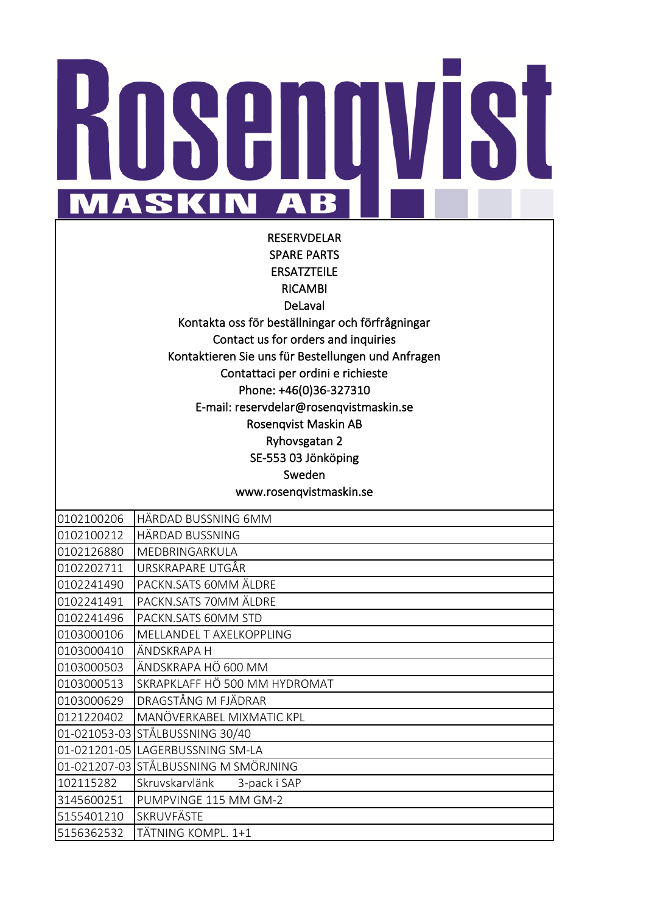## N H **MASKIN** AB

RESERVDELAR SPARE PARTS ERSATZTEILE RICAMBI DeLaval Kontakta oss för beställningar och förfrågningar Contact us for orders and inquiries Kontaktieren Sie uns für Bestellungen und Anfragen Contattaci per ordini e richieste Phone: +46(0)36-327310 E-mail: reservdelar@rosenqvistmaskin.se Rosenqvist Maskin AB Ryhovsgatan 2 SE-553 03 Jönköping Sweden www.rosenqvistmaskin.se

| 0102100206 | HÄRDAD BUSSNING 6MM                   |
|------------|---------------------------------------|
| 0102100212 | HÄRDAD BUSSNING                       |
| 0102126880 | MEDBRINGARKULA                        |
| 0102202711 | URSKRAPARE UTGÅR                      |
| 0102241490 | PACKN.SATS 60MM ÄLDRE                 |
| 0102241491 | PACKN.SATS 70MM ÄLDRE                 |
| 0102241496 | PACKN.SATS 60MM STD                   |
| 0103000106 | MELLANDEL T AXELKOPPLING              |
| 0103000410 | ÄNDSKRAPA H                           |
| 0103000503 | ÄNDSKRAPA HÖ 600 MM                   |
| 0103000513 | SKRAPKLAFF HÖ 500 MM HYDROMAT         |
| 0103000629 | DRAGSTÅNG M FJÄDRAR                   |
| 0121220402 | MANÖVERKABEL MIXMATIC KPL             |
|            | 01-021053-03 STÅLBUSSNING 30/40       |
|            | 01-021201-05 LAGERBUSSNING SM-LA      |
|            | 01-021207-03 STÅLBUSSNING M SMÖRJNING |
| 102115282  | Skruvskarvlänk 3-pack i SAP           |
| 3145600251 | PUMPVINGE 115 MM GM-2                 |
| 5155401210 | <b>SKRUVFÄSTE</b>                     |
| 5156362532 | TÄTNING KOMPL. 1+1                    |
|            |                                       |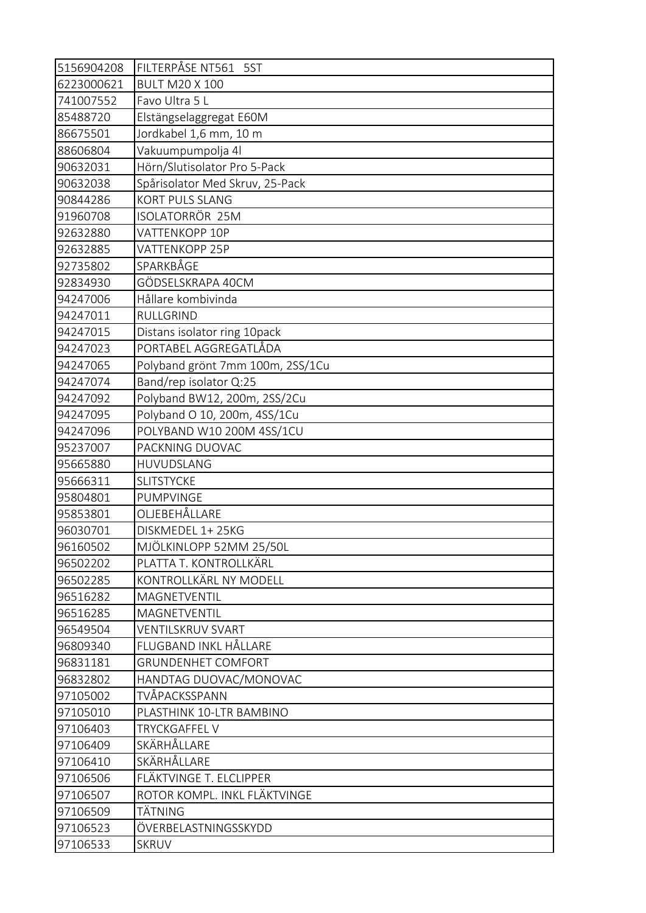| 5156904208 | FILTERPÅSE NT561 5ST             |
|------------|----------------------------------|
| 6223000621 | <b>BULT M20 X 100</b>            |
| 741007552  | Favo Ultra 5 L                   |
| 85488720   | Elstängselaggregat E60M          |
| 86675501   | Jordkabel 1,6 mm, 10 m           |
| 88606804   | Vakuumpumpolja 4l                |
| 90632031   | Hörn/Slutisolator Pro 5-Pack     |
| 90632038   | Spårisolator Med Skruv, 25-Pack  |
| 90844286   | <b>KORT PULS SLANG</b>           |
| 91960708   | ISOLATORRÖR 25M                  |
| 92632880   | VATTENKOPP 10P                   |
| 92632885   | VATTENKOPP 25P                   |
| 92735802   | SPARKBÅGE                        |
| 92834930   | GÖDSELSKRAPA 40CM                |
| 94247006   | Hållare kombivinda               |
| 94247011   | RULLGRIND                        |
| 94247015   | Distans isolator ring 10pack     |
| 94247023   | PORTABEL AGGREGATLÅDA            |
| 94247065   | Polyband grönt 7mm 100m, 2SS/1Cu |
| 94247074   | Band/rep isolator Q:25           |
| 94247092   | Polyband BW12, 200m, 2SS/2Cu     |
| 94247095   | Polyband O 10, 200m, 4SS/1Cu     |
| 94247096   | POLYBAND W10 200M 4SS/1CU        |
| 95237007   | PACKNING DUOVAC                  |
| 95665880   | HUVUDSLANG                       |
| 95666311   | <b>SLITSTYCKE</b>                |
| 95804801   | PUMPVINGE                        |
| 95853801   | OLJEBEHÅLLARE                    |
| 96030701   | DISKMEDEL 1+25KG                 |
| 96160502   | MJÖLKINLOPP 52MM 25/50L          |
| 96502202   | PLATTA T. KONTROLLKÄRL           |
| 96502285   | KONTROLLKÄRL NY MODELL           |
| 96516282   | MAGNETVENTIL                     |
| 96516285   | MAGNETVENTIL                     |
| 96549504   | <b>VENTILSKRUV SVART</b>         |
| 96809340   | FLUGBAND INKL HÅLLARE            |
| 96831181   | <b>GRUNDENHET COMFORT</b>        |
| 96832802   | HANDTAG DUOVAC/MONOVAC           |
| 97105002   | TVÅPACKSSPANN                    |
| 97105010   | PLASTHINK 10-LTR BAMBINO         |
| 97106403   | <b>TRYCKGAFFEL V</b>             |
| 97106409   | SKÄRHÅLLARE                      |
| 97106410   | SKÄRHÅLLARE                      |
| 97106506   | FLÄKTVINGE T. ELCLIPPER          |
| 97106507   | ROTOR KOMPL. INKL FLÄKTVINGE     |
| 97106509   | TÄTNING                          |
| 97106523   | ÖVERBELASTNINGSSKYDD             |
| 97106533   | <b>SKRUV</b>                     |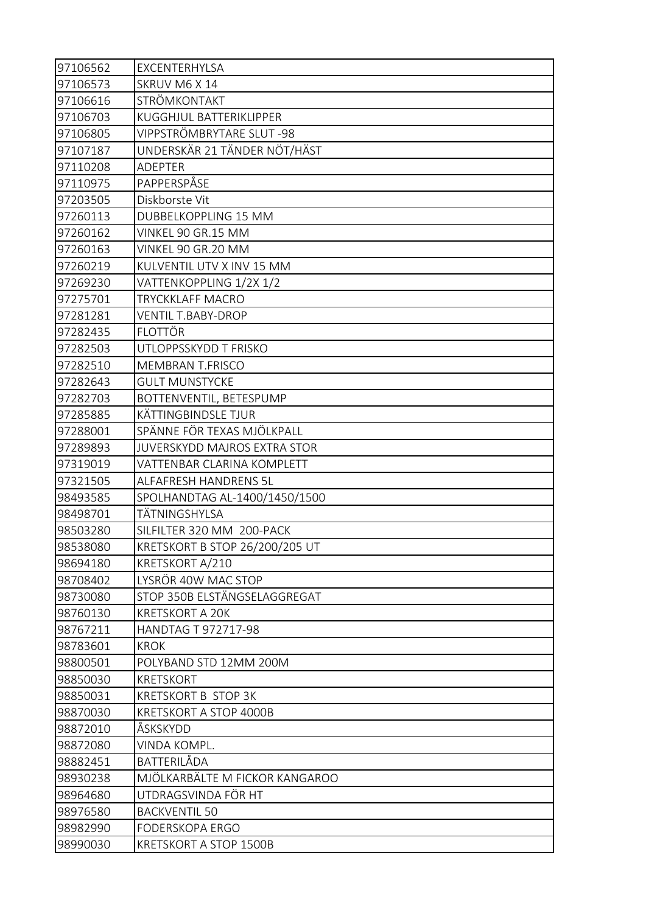| 97106562 | EXCENTERHYLSA                       |
|----------|-------------------------------------|
| 97106573 | SKRUV M6 X 14                       |
| 97106616 | STRÖMKONTAKT                        |
| 97106703 | KUGGHJUL BATTERIKLIPPER             |
| 97106805 | VIPPSTRÖMBRYTARE SLUT -98           |
| 97107187 | UNDERSKÄR 21 TÄNDER NÖT/HÄST        |
| 97110208 | <b>ADEPTER</b>                      |
| 97110975 | PAPPERSPÅSE                         |
| 97203505 | Diskborste Vit                      |
| 97260113 | <b>DUBBELKOPPLING 15 MM</b>         |
| 97260162 | VINKEL 90 GR.15 MM                  |
| 97260163 | VINKEL 90 GR.20 MM                  |
| 97260219 | KULVENTIL UTV X INV 15 MM           |
| 97269230 | VATTENKOPPLING 1/2X 1/2             |
| 97275701 | <b>TRYCKKLAFF MACRO</b>             |
| 97281281 | <b>VENTIL T.BABY-DROP</b>           |
| 97282435 | <b>FLOTTÖR</b>                      |
| 97282503 | UTLOPPSSKYDD T FRISKO               |
| 97282510 | <b>MEMBRAN T.FRISCO</b>             |
| 97282643 | <b>GULT MUNSTYCKE</b>               |
| 97282703 | BOTTENVENTIL, BETESPUMP             |
| 97285885 | KÄTTINGBINDSLE TJUR                 |
| 97288001 | SPÄNNE FÖR TEXAS MJÖLKPALL          |
| 97289893 | <b>JUVERSKYDD MAJROS EXTRA STOR</b> |
| 97319019 | VATTENBAR CLARINA KOMPLETT          |
| 97321505 | ALFAFRESH HANDRENS 5L               |
| 98493585 | SPOLHANDTAG AL-1400/1450/1500       |
| 98498701 | TÄTNINGSHYLSA                       |
| 98503280 | SILFILTER 320 MM 200-PACK           |
| 98538080 | KRETSKORT B STOP 26/200/205 UT      |
| 98694180 | KRETSKORT A/210                     |
| 98708402 | LYSRÖR 40W MAC STOP                 |
| 98730080 | STOP 350B ELSTÄNGSELAGGREGAT        |
| 98760130 | <b>KRETSKORT A 20K</b>              |
| 98767211 | HANDTAG T 972717-98                 |
| 98783601 | KROK                                |
| 98800501 | POLYBAND STD 12MM 200M              |
| 98850030 | <b>KRETSKORT</b>                    |
| 98850031 | <b>KRETSKORT B STOP 3K</b>          |
| 98870030 | KRETSKORT A STOP 4000B              |
| 98872010 | ÅSKSKYDD                            |
| 98872080 | VINDA KOMPL.                        |
| 98882451 | BATTERILÅDA                         |
| 98930238 | MJÖLKARBÄLTE M FICKOR KANGAROO      |
| 98964680 | UTDRAGSVINDA FÖR HT                 |
| 98976580 | <b>BACKVENTIL 50</b>                |
| 98982990 | <b>FODERSKOPA ERGO</b>              |
| 98990030 | KRETSKORT A STOP 1500B              |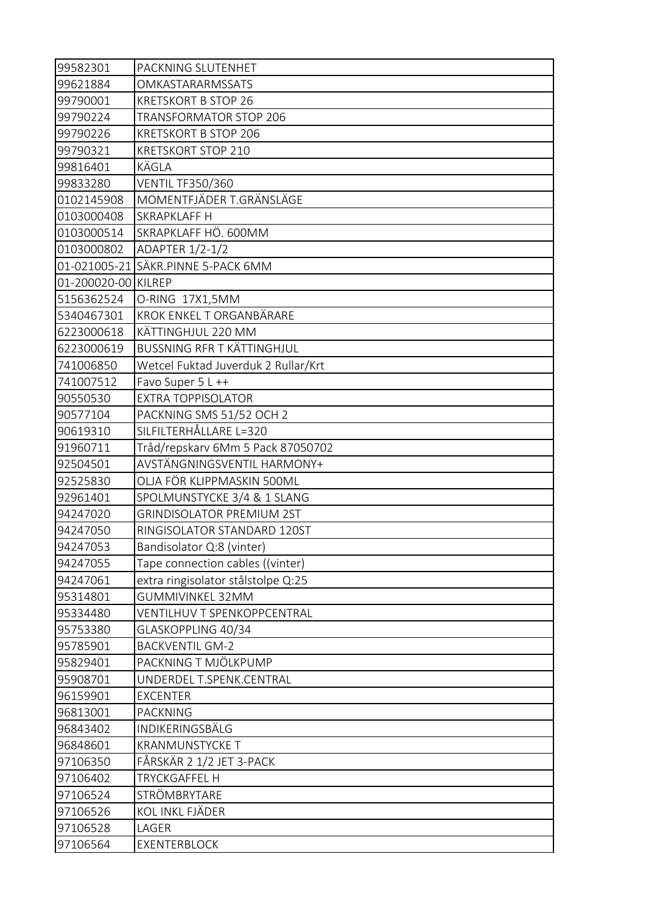| 99582301            | PACKNING SLUTENHET                  |
|---------------------|-------------------------------------|
| 99621884            | OMKASTARARMSSATS                    |
| 99790001            | <b>KRETSKORT B STOP 26</b>          |
| 99790224            | TRANSFORMATOR STOP 206              |
| 99790226            | <b>KRETSKORT B STOP 206</b>         |
| 99790321            | <b>KRETSKORT STOP 210</b>           |
| 99816401            | KÄGLA                               |
| 99833280            | <b>VENTIL TF350/360</b>             |
| 0102145908          | MOMENTFJÄDER T.GRÄNSLÄGE            |
| 0103000408          | SKRAPKLAFF H                        |
| 0103000514          | SKRAPKLAFF HÖ. 600MM                |
| 0103000802          | ADAPTER 1/2-1/2                     |
|                     | 01-021005-21 SÄKR.PINNE 5-PACK 6MM  |
| 01-200020-00 KILREP |                                     |
| 5156362524          | O-RING 17X1,5MM                     |
| 5340467301          | KROK ENKEL T ORGANBÄRARE            |
| 6223000618          | KÄTTINGHJUL 220 MM                  |
| 6223000619          | <b>BUSSNING RFR T KÄTTINGHJUL</b>   |
| 741006850           | Wetcel Fuktad Juverduk 2 Rullar/Krt |
| 741007512           | Favo Super 5 L ++                   |
| 90550530            | <b>EXTRA TOPPISOLATOR</b>           |
| 90577104            | PACKNING SMS 51/52 OCH 2            |
| 90619310            | SILFILTERHÅLLARE L=320              |
| 91960711            | Tråd/repskarv 6Mm 5 Pack 87050702   |
| 92504501            | AVSTÄNGNINGSVENTIL HARMONY+         |
| 92525830            | OLJA FÖR KLIPPMASKIN 500ML          |
| 92961401            | SPOLMUNSTYCKE 3/4 & 1 SLANG         |
| 94247020            | <b>GRINDISOLATOR PREMIUM 2ST</b>    |
| 94247050            | RINGISOLATOR STANDARD 120ST         |
| 94247053            | Bandisolator Q:8 (vinter)           |
| 94247055            | Tape connection cables ((vinter)    |
| 94247061            | extra ringisolator stålstolpe Q:25  |
| 95314801            | <b>GUMMIVINKEL 32MM</b>             |
| 95334480            | VENTILHUV T SPENKOPPCENTRAL         |
| 95753380            | GLASKOPPLING 40/34                  |
| 95785901            | <b>BACKVENTIL GM-2</b>              |
| 95829401            | PACKNING T MJÖLKPUMP                |
| 95908701            | UNDERDEL T.SPENK.CENTRAL            |
| 96159901            | <b>EXCENTER</b>                     |
| 96813001            | <b>PACKNING</b>                     |
| 96843402            | INDIKERINGSBÄLG                     |
| 96848601            | <b>KRANMUNSTYCKE T</b>              |
| 97106350            | FÅRSKÄR 2 1/2 JET 3-PACK            |
| 97106402            | <b>TRYCKGAFFEL H</b>                |
| 97106524            | STRÖMBRYTARE                        |
| 97106526            | KOL INKL FJÄDER                     |
| 97106528            | LAGER                               |
| 97106564            | EXENTERBLOCK                        |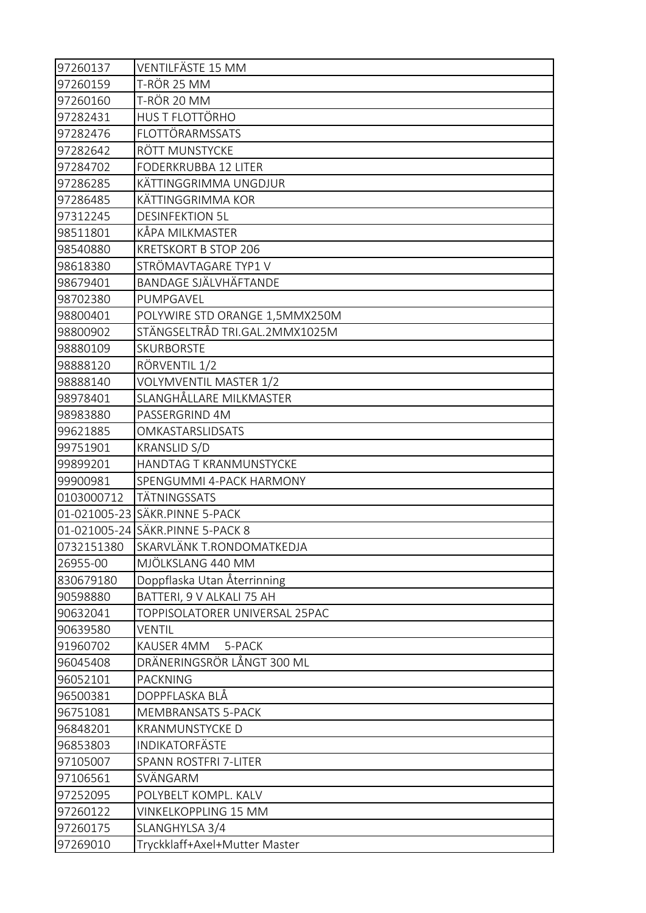| 97260137   | VENTILFÄSTE 15 MM                |
|------------|----------------------------------|
| 97260159   | T-RÖR 25 MM                      |
| 97260160   | T-RÖR 20 MM                      |
| 97282431   | HUS T FLOTTÖRHO                  |
| 97282476   | FLOTTÖRARMSSATS                  |
| 97282642   | RÖTT MUNSTYCKE                   |
| 97284702   | <b>FODERKRUBBA 12 LITER</b>      |
| 97286285   | KÄTTINGGRIMMA UNGDJUR            |
| 97286485   | KÄTTINGGRIMMA KOR                |
| 97312245   | <b>DESINFEKTION 5L</b>           |
| 98511801   | KÅPA MILKMASTER                  |
| 98540880   | <b>KRETSKORT B STOP 206</b>      |
| 98618380   | STRÖMAVTAGARE TYP1 V             |
| 98679401   | BANDAGE SJÄLVHÄFTANDE            |
| 98702380   | PUMPGAVEL                        |
| 98800401   | POLYWIRE STD ORANGE 1,5MMX250M   |
| 98800902   | STÄNGSELTRÅD TRI.GAL.2MMX1025M   |
| 98880109   | <b>SKURBORSTE</b>                |
| 98888120   | RÖRVENTIL 1/2                    |
| 98888140   | VOLYMVENTIL MASTER 1/2           |
| 98978401   | SLANGHÅLLARE MILKMASTER          |
| 98983880   | PASSERGRIND 4M                   |
| 99621885   | OMKASTARSLIDSATS                 |
| 99751901   | <b>KRANSLID S/D</b>              |
| 99899201   | HANDTAG T KRANMUNSTYCKE          |
| 99900981   | SPENGUMMI 4-PACK HARMONY         |
| 0103000712 | TÄTNINGSSATS                     |
|            | 01-021005-23 SÄKR.PINNE 5-PACK   |
|            | 01-021005-24 SÄKR.PINNE 5-PACK 8 |
| 0732151380 | SKARVLÄNK T.RONDOMATKEDJA        |
| 26955-00   | MJÖLKSLANG 440 MM                |
| 830679180  | Doppflaska Utan Återrinning      |
| 90598880   | BATTERI, 9 V ALKALI 75 AH        |
| 90632041   | TOPPISOLATORER UNIVERSAL 25PAC   |
| 90639580   | <b>VENTIL</b>                    |
| 91960702   | KAUSER 4MM<br>5-PACK             |
| 96045408   | DRÄNERINGSRÖR LÅNGT 300 ML       |
| 96052101   | <b>PACKNING</b>                  |
| 96500381   | DOPPFLASKA BLÅ                   |
| 96751081   | <b>MEMBRANSATS 5-PACK</b>        |
| 96848201   | <b>KRANMUNSTYCKE D</b>           |
| 96853803   | INDIKATORFÄSTE                   |
| 97105007   | SPANN ROSTFRI 7-LITER            |
| 97106561   | SVÄNGARM                         |
| 97252095   | POLYBELT KOMPL. KALV             |
| 97260122   | VINKELKOPPLING 15 MM             |
| 97260175   | SLANGHYLSA 3/4                   |
| 97269010   | Tryckklaff+Axel+Mutter Master    |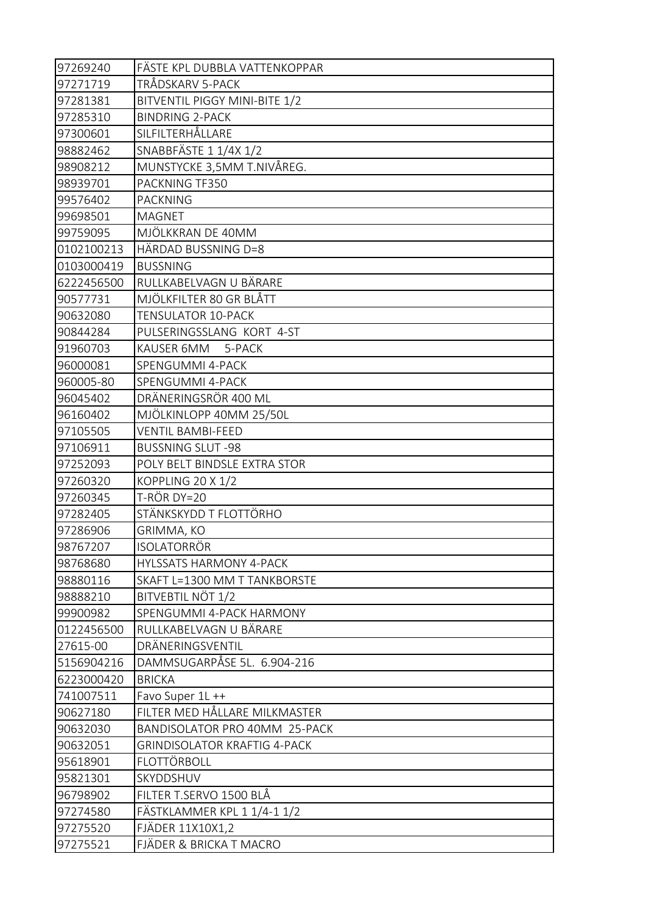| 97269240   | FÄSTE KPL DUBBLA VATTENKOPPAR       |
|------------|-------------------------------------|
| 97271719   | TRÅDSKARV 5-PACK                    |
| 97281381   | BITVENTIL PIGGY MINI-BITE 1/2       |
| 97285310   | <b>BINDRING 2-PACK</b>              |
| 97300601   | SILFILTERHÅLLARE                    |
| 98882462   | SNABBFÄSTE 1 1/4X 1/2               |
| 98908212   | MUNSTYCKE 3,5MM T.NIVÅREG.          |
| 98939701   | PACKNING TF350                      |
| 99576402   | <b>PACKNING</b>                     |
| 99698501   | <b>MAGNET</b>                       |
| 99759095   | MJÖLKKRAN DE 40MM                   |
| 0102100213 | HÄRDAD BUSSNING D=8                 |
| 0103000419 | <b>BUSSNING</b>                     |
| 6222456500 | RULLKABELVAGN U BÄRARE              |
| 90577731   | MJÖLKFILTER 80 GR BLÅTT             |
| 90632080   | <b>TENSULATOR 10-PACK</b>           |
| 90844284   | PULSERINGSSLANG KORT 4-ST           |
| 91960703   | KAUSER 6MM<br>5-PACK                |
| 96000081   | SPENGUMMI 4-PACK                    |
| 960005-80  | SPENGUMMI 4-PACK                    |
| 96045402   | DRÄNERINGSRÖR 400 ML                |
| 96160402   | MJÖLKINLOPP 40MM 25/50L             |
| 97105505   | <b>VENTIL BAMBI-FEED</b>            |
| 97106911   | <b>BUSSNING SLUT-98</b>             |
| 97252093   | POLY BELT BINDSLE EXTRA STOR        |
| 97260320   | KOPPLING 20 X 1/2                   |
| 97260345   | T-RÖR DY=20                         |
| 97282405   | STÄNKSKYDD T FLOTTÖRHO              |
| 97286906   | GRIMMA, KO                          |
| 98767207   | <b>ISOLATORRÖR</b>                  |
| 98768680   | <b>HYLSSATS HARMONY 4-PACK</b>      |
| 98880116   | SKAFT L=1300 MM T TANKBORSTE        |
| 98888210   | BITVEBTIL NÖT 1/2                   |
| 99900982   | SPENGUMMI 4-PACK HARMONY            |
| 0122456500 | RULLKABELVAGN U BÄRARE              |
| 27615-00   | DRÄNERINGSVENTIL                    |
| 5156904216 | DAMMSUGARPÅSE 5L. 6.904-216         |
| 6223000420 | <b>BRICKA</b>                       |
| 741007511  | Favo Super 1L ++                    |
| 90627180   | FILTER MED HÅLLARE MILKMASTER       |
| 90632030   | BANDISOLATOR PRO 40MM 25-PACK       |
| 90632051   | <b>GRINDISOLATOR KRAFTIG 4-PACK</b> |
| 95618901   | FLOTTÖRBOLL                         |
| 95821301   | SKYDDSHUV                           |
| 96798902   | FILTER T.SERVO 1500 BLÅ             |
| 97274580   | FÄSTKLAMMER KPL 1 1/4-1 1/2         |
| 97275520   | FJÄDER 11X10X1,2                    |
| 97275521   | FJÄDER & BRICKA T MACRO             |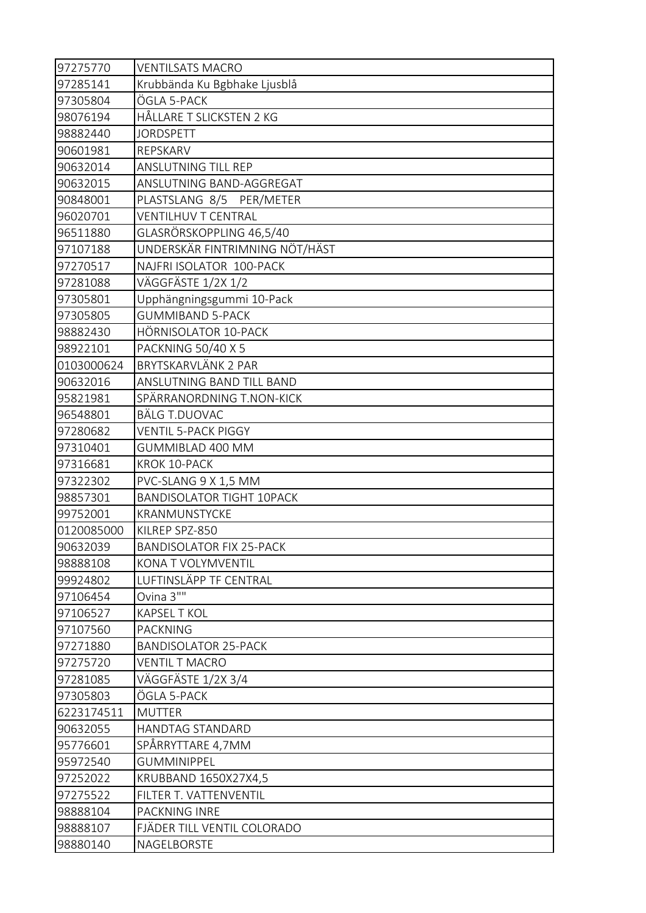| 97275770   | <b>VENTILSATS MACRO</b>          |
|------------|----------------------------------|
| 97285141   | Krubbända Ku Bgbhake Ljusblå     |
| 97305804   | ÖGLA 5-PACK                      |
| 98076194   | HÅLLARE T SLICKSTEN 2 KG         |
| 98882440   | <b>JORDSPETT</b>                 |
| 90601981   | REPSKARV                         |
| 90632014   | ANSLUTNING TILL REP              |
| 90632015   | ANSLUTNING BAND-AGGREGAT         |
| 90848001   | PLASTSLANG 8/5 PER/METER         |
| 96020701   | <b>VENTILHUV T CENTRAL</b>       |
| 96511880   | GLASRÖRSKOPPLING 46,5/40         |
| 97107188   | UNDERSKÄR FINTRIMNING NÖT/HÄST   |
| 97270517   | NAJFRI ISOLATOR 100-PACK         |
| 97281088   | VÄGGFÄSTE 1/2X 1/2               |
| 97305801   | Upphängningsgummi 10-Pack        |
| 97305805   | <b>GUMMIBAND 5-PACK</b>          |
| 98882430   | HÖRNISOLATOR 10-PACK             |
| 98922101   | PACKNING 50/40 X 5               |
| 0103000624 | BRYTSKARVLÄNK 2 PAR              |
| 90632016   | ANSLUTNING BAND TILL BAND        |
| 95821981   | SPÄRRANORDNING T.NON-KICK        |
| 96548801   | <b>BÄLG T.DUOVAC</b>             |
| 97280682   | <b>VENTIL 5-PACK PIGGY</b>       |
| 97310401   | GUMMIBLAD 400 MM                 |
| 97316681   | KROK 10-PACK                     |
| 97322302   | PVC-SLANG 9 X 1,5 MM             |
| 98857301   | <b>BANDISOLATOR TIGHT 10PACK</b> |
| 99752001   | KRANMUNSTYCKE                    |
| 0120085000 | KILREP SPZ-850                   |
| 90632039   | <b>BANDISOLATOR FIX 25-PACK</b>  |
| 98888108   | KONA T VOLYMVENTIL               |
| 99924802   | LUFTINSLÄPP TF CENTRAL           |
| 97106454   | Ovina 3""                        |
| 97106527   | <b>KAPSEL T KOL</b>              |
| 97107560   | <b>PACKNING</b>                  |
| 97271880   | <b>BANDISOLATOR 25-PACK</b>      |
| 97275720   | <b>VENTIL T MACRO</b>            |
| 97281085   | VÄGGFÄSTE 1/2X 3/4               |
| 97305803   | ÖGLA 5-PACK                      |
| 6223174511 | <b>MUTTER</b>                    |
| 90632055   | HANDTAG STANDARD                 |
| 95776601   | SPÅRRYTTARE 4,7MM                |
| 95972540   | <b>GUMMINIPPEL</b>               |
| 97252022   | KRUBBAND 1650X27X4,5             |
| 97275522   | FILTER T. VATTENVENTIL           |
| 98888104   | PACKNING INRE                    |
| 98888107   | FJÄDER TILL VENTIL COLORADO      |
|            |                                  |
| 98880140   | NAGELBORSTE                      |